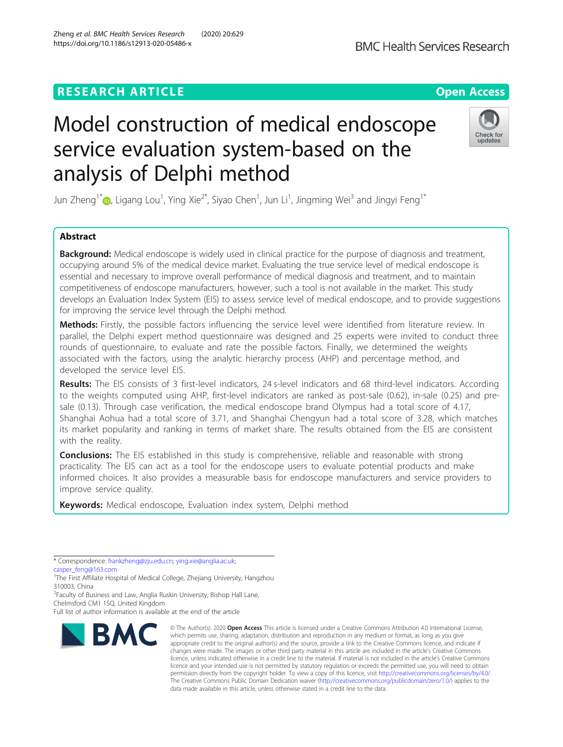## **RESEARCH ARTICLE Example 2018 12:30 THE OPEN Access**

# Model construction of medical endoscope service evaluation system-based on the analysis of Delphi method

Jun Zheng<sup>1\*</sup>�, Ligang Lou<sup>1</sup>, Ying Xie<sup>2\*</sup>, Siyao Chen<sup>1</sup>, Jun Li<sup>1</sup>, Jingming Wei<sup>3</sup> and Jingyi Feng<sup>1\*</sup>

## Abstract

**Background:** Medical endoscope is widely used in clinical practice for the purpose of diagnosis and treatment, occupying around 5% of the medical device market. Evaluating the true service level of medical endoscope is essential and necessary to improve overall performance of medical diagnosis and treatment, and to maintain competitiveness of endoscope manufacturers, however, such a tool is not available in the market. This study develops an Evaluation Index System (EIS) to assess service level of medical endoscope, and to provide suggestions for improving the service level through the Delphi method.

Methods: Firstly, the possible factors influencing the service level were identified from literature review. In parallel, the Delphi expert method questionnaire was designed and 25 experts were invited to conduct three rounds of questionnaire, to evaluate and rate the possible factors. Finally, we determined the weights associated with the factors, using the analytic hierarchy process (AHP) and percentage method, and developed the service level EIS.

Results: The EIS consists of 3 first-level indicators, 24 s-level indicators and 68 third-level indicators. According to the weights computed using AHP, first-level indicators are ranked as post-sale (0.62), in-sale (0.25) and presale (0.13). Through case verification, the medical endoscope brand Olympus had a total score of 4.17, Shanghai Aohua had a total score of 3.71, and Shanghai Chengyun had a total score of 3.28, which matches its market popularity and ranking in terms of market share. The results obtained from the EIS are consistent with the reality.

**Conclusions:** The EIS established in this study is comprehensive, reliable and reasonable with strong practicality. The EIS can act as a tool for the endoscope users to evaluate potential products and make informed choices. It also provides a measurable basis for endoscope manufacturers and service providers to improve service quality.

Keywords: Medical endoscope, Evaluation index system, Delphi method

[casper\\_feng@163.com](mailto:casper_feng@163.com)

<sup>2</sup> Faculty of Business and Law, Anglia Ruskin University, Bishop Hall Lane,

Chelmsford CM1 1SQ, United Kingdom

Full list of author information is available at the end of the article

**BMC** 



© The Author(s), 2020 **Open Access** This article is licensed under a Creative Commons Attribution 4.0 International License, which permits use, sharing, adaptation, distribution and reproduction in any medium or format, as long as you give







<sup>\*</sup> Correspondence: [frankzheng@zju.edu.cn;](mailto:frankzheng@zju.edu.cn) [ying.xie@anglia.ac.uk](mailto:ying.xie@anglia.ac.uk);

<sup>&</sup>lt;sup>1</sup>The First Affiliate Hospital of Medical College, Zhejiang University, Hangzhou 310003, China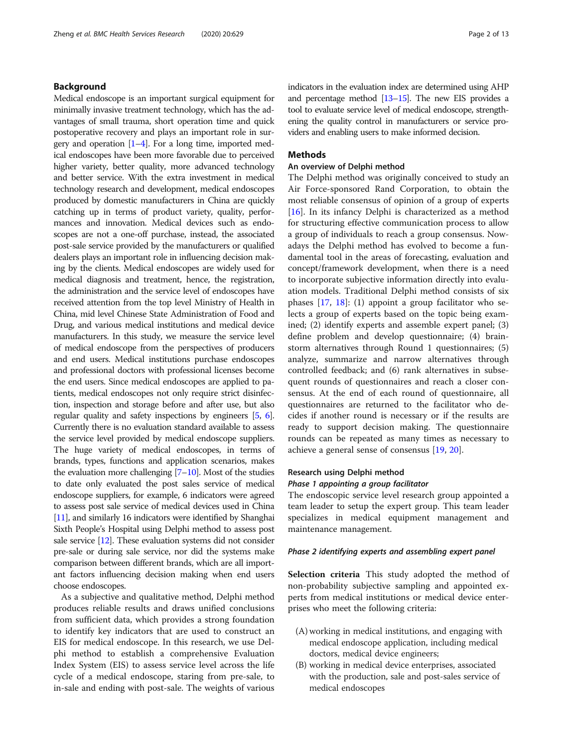## Background

Medical endoscope is an important surgical equipment for minimally invasive treatment technology, which has the advantages of small trauma, short operation time and quick postoperative recovery and plays an important role in surgery and operation  $[1-4]$  $[1-4]$  $[1-4]$ . For a long time, imported medical endoscopes have been more favorable due to perceived higher variety, better quality, more advanced technology and better service. With the extra investment in medical technology research and development, medical endoscopes produced by domestic manufacturers in China are quickly catching up in terms of product variety, quality, performances and innovation. Medical devices such as endoscopes are not a one-off purchase, instead, the associated post-sale service provided by the manufacturers or qualified dealers plays an important role in influencing decision making by the clients. Medical endoscopes are widely used for medical diagnosis and treatment, hence, the registration, the administration and the service level of endoscopes have received attention from the top level Ministry of Health in China, mid level Chinese State Administration of Food and Drug, and various medical institutions and medical device manufacturers. In this study, we measure the service level of medical endoscope from the perspectives of producers and end users. Medical institutions purchase endoscopes and professional doctors with professional licenses become the end users. Since medical endoscopes are applied to patients, medical endoscopes not only require strict disinfection, inspection and storage before and after use, but also regular quality and safety inspections by engineers [[5](#page-12-0), [6](#page-12-0)]. Currently there is no evaluation standard available to assess the service level provided by medical endoscope suppliers. The huge variety of medical endoscopes, in terms of brands, types, functions and application scenarios, makes the evaluation more challenging  $[7-10]$  $[7-10]$  $[7-10]$  $[7-10]$  $[7-10]$ . Most of the studies to date only evaluated the post sales service of medical endoscope suppliers, for example, 6 indicators were agreed to assess post sale service of medical devices used in China [[11](#page-12-0)], and similarly 16 indicators were identified by Shanghai Sixth People's Hospital using Delphi method to assess post sale service [\[12\]](#page-12-0). These evaluation systems did not consider pre-sale or during sale service, nor did the systems make comparison between different brands, which are all important factors influencing decision making when end users choose endoscopes.

As a subjective and qualitative method, Delphi method produces reliable results and draws unified conclusions from sufficient data, which provides a strong foundation to identify key indicators that are used to construct an EIS for medical endoscope. In this research, we use Delphi method to establish a comprehensive Evaluation Index System (EIS) to assess service level across the life cycle of a medical endoscope, staring from pre-sale, to in-sale and ending with post-sale. The weights of various indicators in the evaluation index are determined using AHP and percentage method [\[13](#page-12-0)–[15](#page-12-0)]. The new EIS provides a tool to evaluate service level of medical endoscope, strengthening the quality control in manufacturers or service providers and enabling users to make informed decision.

## **Methods**

## An overview of Delphi method

The Delphi method was originally conceived to study an Air Force-sponsored Rand Corporation, to obtain the most reliable consensus of opinion of a group of experts [[16\]](#page-12-0). In its infancy Delphi is characterized as a method for structuring effective communication process to allow a group of individuals to reach a group consensus. Nowadays the Delphi method has evolved to become a fundamental tool in the areas of forecasting, evaluation and concept/framework development, when there is a need to incorporate subjective information directly into evaluation models. Traditional Delphi method consists of six phases [\[17,](#page-12-0) [18](#page-12-0)]: (1) appoint a group facilitator who selects a group of experts based on the topic being examined; (2) identify experts and assemble expert panel; (3) define problem and develop questionnaire; (4) brainstorm alternatives through Round 1 questionnaires; (5) analyze, summarize and narrow alternatives through controlled feedback; and (6) rank alternatives in subsequent rounds of questionnaires and reach a closer consensus. At the end of each round of questionnaire, all questionnaires are returned to the facilitator who decides if another round is necessary or if the results are ready to support decision making. The questionnaire rounds can be repeated as many times as necessary to achieve a general sense of consensus [[19](#page-12-0), [20](#page-12-0)].

## Research using Delphi method Phase 1 appointing a group facilitator

The endoscopic service level research group appointed a team leader to setup the expert group. This team leader specializes in medical equipment management and maintenance management.

#### Phase 2 identifying experts and assembling expert panel

Selection criteria This study adopted the method of non-probability subjective sampling and appointed experts from medical institutions or medical device enterprises who meet the following criteria:

- (A) working in medical institutions, and engaging with medical endoscope application, including medical doctors, medical device engineers;
- (B) working in medical device enterprises, associated with the production, sale and post-sales service of medical endoscopes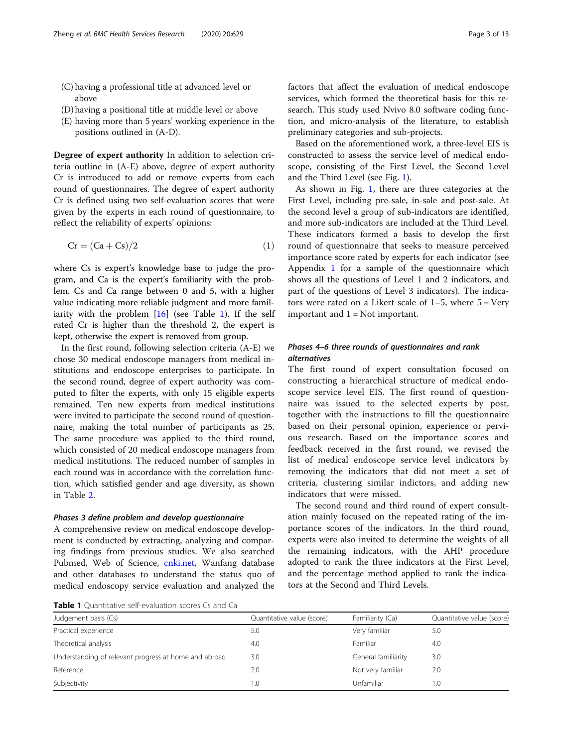- (C) having a professional title at advanced level or above
- (D) having a positional title at middle level or above
- (E) having more than 5 years' working experience in the positions outlined in (A-D).

Degree of expert authority In addition to selection criteria outline in (A-E) above, degree of expert authority Cr is introduced to add or remove experts from each round of questionnaires. The degree of expert authority Cr is defined using two self-evaluation scores that were given by the experts in each round of questionnaire, to reflect the reliability of experts' opinions:

$$
Cr = (Ca + Cs)/2 \tag{1}
$$

where Cs is expert's knowledge base to judge the program, and Ca is the expert's familiarity with the problem. Cs and Ca range between 0 and 5, with a higher value indicating more reliable judgment and more familiarity with the problem [[16\]](#page-12-0) (see Table 1). If the self rated Cr is higher than the threshold 2, the expert is kept, otherwise the expert is removed from group.

In the first round, following selection criteria (A-E) we chose 30 medical endoscope managers from medical institutions and endoscope enterprises to participate. In the second round, degree of expert authority was computed to filter the experts, with only 15 eligible experts remained. Ten new experts from medical institutions were invited to participate the second round of questionnaire, making the total number of participants as 25. The same procedure was applied to the third round, which consisted of 20 medical endoscope managers from medical institutions. The reduced number of samples in each round was in accordance with the correlation function, which satisfied gender and age diversity, as shown in Table [2](#page-3-0).

#### Phases 3 define problem and develop questionnaire

A comprehensive review on medical endoscope development is conducted by extracting, analyzing and comparing findings from previous studies. We also searched Pubmed, Web of Science, [cnki.net,](http://cnki.net) Wanfang database and other databases to understand the status quo of medical endoscopy service evaluation and analyzed the factors that affect the evaluation of medical endoscope services, which formed the theoretical basis for this research. This study used Nvivo 8.0 software coding function, and micro-analysis of the literature, to establish preliminary categories and sub-projects.

Based on the aforementioned work, a three-level EIS is constructed to assess the service level of medical endoscope, consisting of the First Level, the Second Level and the Third Level (see Fig. [1](#page-3-0)).

As shown in Fig. [1,](#page-3-0) there are three categories at the First Level, including pre-sale, in-sale and post-sale. At the second level a group of sub-indicators are identified, and more sub-indicators are included at the Third Level. These indicators formed a basis to develop the first round of questionnaire that seeks to measure perceived importance score rated by experts for each indicator (see Appendix [1](#page-11-0) for a sample of the questionnaire which shows all the questions of Level 1 and 2 indicators, and part of the questions of Level 3 indicators). The indicators were rated on a Likert scale of  $1-5$ , where  $5 = \text{Very}}$ important and  $1 = Not$  important.

## Phases 4–6 three rounds of questionnaires and rank alternatives

The first round of expert consultation focused on constructing a hierarchical structure of medical endoscope service level EIS. The first round of questionnaire was issued to the selected experts by post, together with the instructions to fill the questionnaire based on their personal opinion, experience or pervious research. Based on the importance scores and feedback received in the first round, we revised the list of medical endoscope service level indicators by removing the indicators that did not meet a set of criteria, clustering similar indictors, and adding new indicators that were missed.

The second round and third round of expert consultation mainly focused on the repeated rating of the importance scores of the indicators. In the third round, experts were also invited to determine the weights of all the remaining indicators, with the AHP procedure adopted to rank the three indicators at the First Level, and the percentage method applied to rank the indicators at the Second and Third Levels.

Table 1 Quantitative self-evaluation scores Cs and Ca

| <b>I WINTE I</b> QUALITIONITY C SCIL CYMIQUIDIT SCOTCS CS MITCH CO. |                            |                     |                            |
|---------------------------------------------------------------------|----------------------------|---------------------|----------------------------|
| Judgement basis (Cs)                                                | Quantitative value (score) | Familiarity (Ca)    | Quantitative value (score) |
| Practical experience                                                | 5.0                        | Very familiar       | 5.0                        |
| Theoretical analysis                                                | 4.0                        | Familiar            | 4.0                        |
| Understanding of relevant progress at home and abroad               | 3.0                        | General familiarity | 3.0                        |
| Reference                                                           | 2.0                        | Not very familiar   | 2.0                        |
| Subjectivity                                                        | 1.0                        | Unfamiliar          | .0                         |
|                                                                     |                            |                     |                            |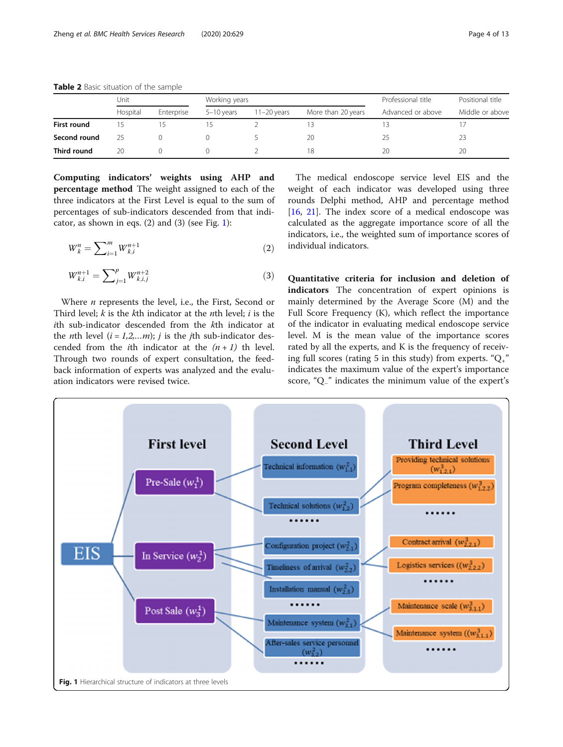|              | Unit     |            | Working years |               |                    | Professional title | Positional title |  |
|--------------|----------|------------|---------------|---------------|--------------------|--------------------|------------------|--|
|              | Hospital | Enterprise | 5-10 years    | $11-20$ years | More than 20 years | Advanced or above  | Middle or above  |  |
| First round  |          |            |               |               |                    |                    |                  |  |
| Second round |          |            |               |               | 20                 | 25                 |                  |  |
| Third round  | 20       |            |               |               | 18                 | 20                 | 20               |  |

<span id="page-3-0"></span>Table 2 Basic situation of the sample

Computing indicators' weights using AHP and percentage method The weight assigned to each of the three indicators at the First Level is equal to the sum of percentages of sub-indicators descended from that indicator, as shown in eqs.  $(2)$  and  $(3)$  (see Fig. 1):

$$
W_k^n = \sum_{i=1}^m W_{k,i}^{n+1}
$$
 (2)

$$
W_{k,i}^{n+1} = \sum_{j=1}^{p} W_{k,i,j}^{n+2}
$$
 (3)

Where  $n$  represents the level, i.e., the First, Second or Third level;  $k$  is the  $k$ th indicator at the *n*th level;  $i$  is the ith sub-indicator descended from the kth indicator at the *n*th level  $(i = 1,2,...m)$ ; *j* is the *j*th sub-indicator descended from the *i*th indicator at the  $(n+1)$  th level. Through two rounds of expert consultation, the feedback information of experts was analyzed and the evaluation indicators were revised twice.

The medical endoscope service level EIS and the weight of each indicator was developed using three rounds Delphi method, AHP and percentage method [[16,](#page-12-0) [21](#page-12-0)]. The index score of a medical endoscope was calculated as the aggregate importance score of all the indicators, i.e., the weighted sum of importance scores of individual indicators.

Quantitative criteria for inclusion and deletion of indicators The concentration of expert opinions is mainly determined by the Average Score (M) and the Full Score Frequency (K), which reflect the importance of the indicator in evaluating medical endoscope service level. M is the mean value of the importance scores rated by all the experts, and K is the frequency of receiving full scores (rating 5 in this study) from experts. " $Q_{+}$ " indicates the maximum value of the expert's importance score, "Q−" indicates the minimum value of the expert's

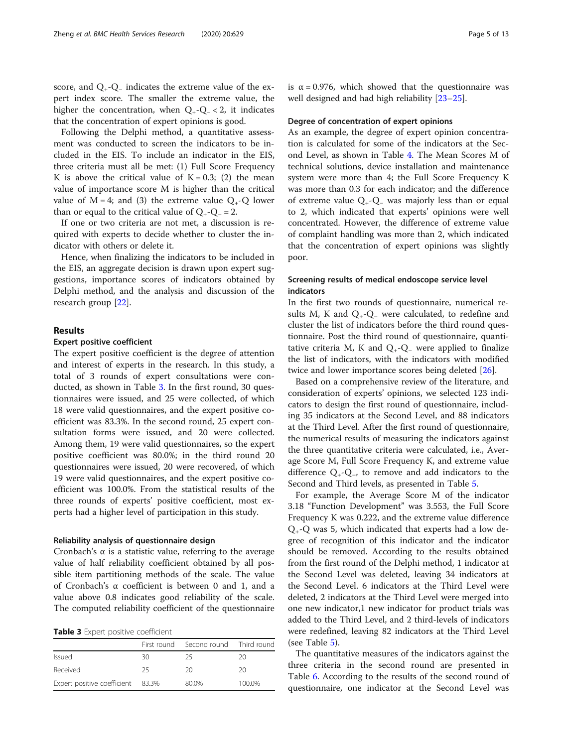score, and  $Q_{+}$ - $Q_{-}$  indicates the extreme value of the expert index score. The smaller the extreme value, the higher the concentration, when  $Q_{+}$ - $Q_{-}$  < 2, it indicates that the concentration of expert opinions is good.

Following the Delphi method, a quantitative assessment was conducted to screen the indicators to be included in the EIS. To include an indicator in the EIS, three criteria must all be met: (1) Full Score Frequency K is above the critical value of  $K = 0.3$ ; (2) the mean value of importance score M is higher than the critical value of  $M = 4$ ; and (3) the extreme value  $Q_{+}$ -Q lower than or equal to the critical value of  $Q_{+}$ - $Q_{-}$  = 2.

If one or two criteria are not met, a discussion is required with experts to decide whether to cluster the indicator with others or delete it.

Hence, when finalizing the indicators to be included in the EIS, an aggregate decision is drawn upon expert suggestions, importance scores of indicators obtained by Delphi method, and the analysis and discussion of the research group [[22\]](#page-12-0).

## Results

#### Expert positive coefficient

The expert positive coefficient is the degree of attention and interest of experts in the research. In this study, a total of 3 rounds of expert consultations were conducted, as shown in Table 3. In the first round, 30 questionnaires were issued, and 25 were collected, of which 18 were valid questionnaires, and the expert positive coefficient was 83.3%. In the second round, 25 expert consultation forms were issued, and 20 were collected. Among them, 19 were valid questionnaires, so the expert positive coefficient was 80.0%; in the third round 20 questionnaires were issued, 20 were recovered, of which 19 were valid questionnaires, and the expert positive coefficient was 100.0%. From the statistical results of the three rounds of experts' positive coefficient, most experts had a higher level of participation in this study.

#### Reliability analysis of questionnaire design

Cronbach's α is a statistic value, referring to the average value of half reliability coefficient obtained by all possible item partitioning methods of the scale. The value of Cronbach's α coefficient is between 0 and 1, and a value above 0.8 indicates good reliability of the scale. The computed reliability coefficient of the questionnaire

Table 3 Expert positive coefficient

|                                   |     | First round Second round Third round |        |
|-----------------------------------|-----|--------------------------------------|--------|
| Issued                            | 30  | 25                                   | 20     |
| Received                          | -25 | 20                                   | 20     |
| Expert positive coefficient 83.3% |     | 80.0%                                | 100.0% |

is  $\alpha$  = 0.976, which showed that the questionnaire was well designed and had high reliability [\[23](#page-12-0)–[25\]](#page-12-0).

#### Degree of concentration of expert opinions

As an example, the degree of expert opinion concentration is calculated for some of the indicators at the Second Level, as shown in Table [4.](#page-5-0) The Mean Scores M of technical solutions, device installation and maintenance system were more than 4; the Full Score Frequency K was more than 0.3 for each indicator; and the difference of extreme value  $Q_{+}$ - $Q_{-}$  was majorly less than or equal to 2, which indicated that experts' opinions were well concentrated. However, the difference of extreme value of complaint handling was more than 2, which indicated that the concentration of expert opinions was slightly poor.

## Screening results of medical endoscope service level indicators

In the first two rounds of questionnaire, numerical results M, K and Q<sub>+</sub>-Q<sub>−</sub> were calculated, to redefine and cluster the list of indicators before the third round questionnaire. Post the third round of questionnaire, quantitative criteria M, K and  $Q_{+}$ - $Q_{-}$  were applied to finalize the list of indicators, with the indicators with modified twice and lower importance scores being deleted [[26](#page-12-0)].

Based on a comprehensive review of the literature, and consideration of experts' opinions, we selected 123 indicators to design the first round of questionnaire, including 35 indicators at the Second Level, and 88 indicators at the Third Level. After the first round of questionnaire, the numerical results of measuring the indicators against the three quantitative criteria were calculated, i.e., Average Score M, Full Score Frequency K, and extreme value difference  $Q_{+}$ - $Q_{-}$ , to remove and add indicators to the Second and Third levels, as presented in Table [5](#page-5-0).

For example, the Average Score M of the indicator 3.18 "Function Development" was 3.553, the Full Score Frequency K was 0.222, and the extreme value difference  $Q_{+}$ -Q was 5, which indicated that experts had a low degree of recognition of this indicator and the indicator should be removed. According to the results obtained from the first round of the Delphi method, 1 indicator at the Second Level was deleted, leaving 34 indicators at the Second Level. 6 indicators at the Third Level were deleted, 2 indicators at the Third Level were merged into one new indicator,1 new indicator for product trials was added to the Third Level, and 2 third-levels of indicators were redefined, leaving 82 indicators at the Third Level (see Table [5](#page-5-0)).

The quantitative measures of the indicators against the three criteria in the second round are presented in Table [6.](#page-6-0) According to the results of the second round of questionnaire, one indicator at the Second Level was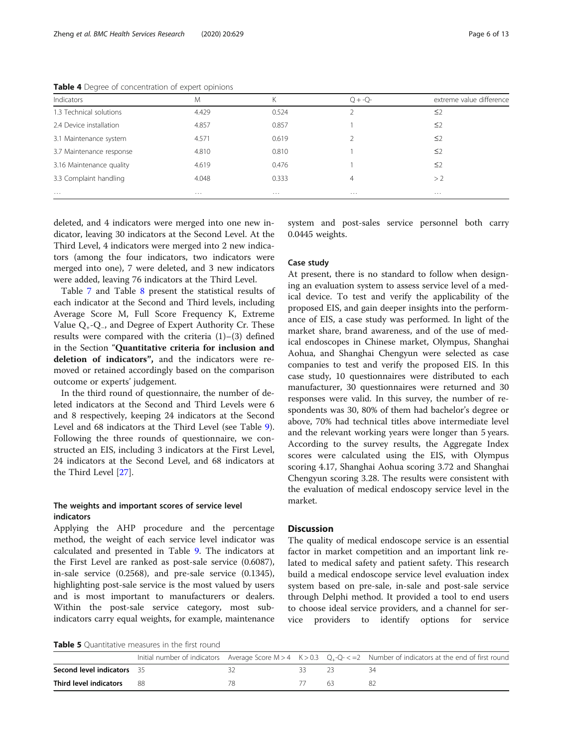| Indicators               | M        | Κ        | $O + -O -$ | extreme value difference |
|--------------------------|----------|----------|------------|--------------------------|
| 1.3 Technical solutions  | 4.429    | 0.524    |            | ≤2                       |
| 2.4 Device installation  | 4.857    | 0.857    |            | ≤2                       |
| 3.1 Maintenance system   | 4.571    | 0.619    |            | $\leq$                   |
| 3.7 Maintenance response | 4.810    | 0.810    |            | $\leq$                   |
| 3.16 Maintenance quality | 4.619    | 0.476    |            | $\leq$ 2                 |
| 3.3 Complaint handling   | 4.048    | 0.333    | 4          | > 2                      |
| $\cdots$                 | $\cdots$ | $\cdots$ | $\cdots$   | $\cdots$                 |

<span id="page-5-0"></span>Table 4 Degree of concentration of expert opinions

deleted, and 4 indicators were merged into one new indicator, leaving 30 indicators at the Second Level. At the Third Level, 4 indicators were merged into 2 new indicators (among the four indicators, two indicators were merged into one), 7 were deleted, and 3 new indicators were added, leaving 76 indicators at the Third Level.

Table [7](#page-6-0) and Table [8](#page-7-0) present the statistical results of each indicator at the Second and Third levels, including Average Score M, Full Score Frequency K, Extreme Value Q+-Q−, and Degree of Expert Authority Cr. These results were compared with the criteria  $(1)$ – $(3)$  defined in the Section "Quantitative criteria for inclusion and deletion of indicators", and the indicators were removed or retained accordingly based on the comparison outcome or experts' judgement.

In the third round of questionnaire, the number of deleted indicators at the Second and Third Levels were 6 and 8 respectively, keeping 24 indicators at the Second Level and 68 indicators at the Third Level (see Table [9](#page-9-0)). Following the three rounds of questionnaire, we constructed an EIS, including 3 indicators at the First Level, 24 indicators at the Second Level, and 68 indicators at the Third Level [\[27](#page-12-0)].

## The weights and important scores of service level indicators

Applying the AHP procedure and the percentage method, the weight of each service level indicator was calculated and presented in Table [9.](#page-9-0) The indicators at the First Level are ranked as post-sale service (0.6087), in-sale service (0.2568), and pre-sale service (0.1345), highlighting post-sale service is the most valued by users and is most important to manufacturers or dealers. Within the post-sale service category, most subindicators carry equal weights, for example, maintenance

system and post-sales service personnel both carry 0.0445 weights.

## Case study

At present, there is no standard to follow when designing an evaluation system to assess service level of a medical device. To test and verify the applicability of the proposed EIS, and gain deeper insights into the performance of EIS, a case study was performed. In light of the market share, brand awareness, and of the use of medical endoscopes in Chinese market, Olympus, Shanghai Aohua, and Shanghai Chengyun were selected as case companies to test and verify the proposed EIS. In this case study, 10 questionnaires were distributed to each manufacturer, 30 questionnaires were returned and 30 responses were valid. In this survey, the number of respondents was 30, 80% of them had bachelor's degree or above, 70% had technical titles above intermediate level and the relevant working years were longer than 5 years. According to the survey results, the Aggregate Index scores were calculated using the EIS, with Olympus scoring 4.17, Shanghai Aohua scoring 3.72 and Shanghai Chengyun scoring 3.28. The results were consistent with the evaluation of medical endoscopy service level in the market.

## **Discussion**

The quality of medical endoscope service is an essential factor in market competition and an important link related to medical safety and patient safety. This research build a medical endoscope service level evaluation index system based on pre-sale, in-sale and post-sale service through Delphi method. It provided a tool to end users to choose ideal service providers, and a channel for service providers to identify options for service

**Table 5** Quantitative measures in the first round

|                                   |  |     |  |    | Initial number of indicators Average Score M > 4 K > 0.3 $Q_+$ -Q- $\lt$ =2 Number of indicators at the end of first round |  |  |
|-----------------------------------|--|-----|--|----|----------------------------------------------------------------------------------------------------------------------------|--|--|
| <b>Second level indicators</b> 35 |  |     |  |    |                                                                                                                            |  |  |
| <b>Third level indicators</b> 88  |  | 78. |  | 63 |                                                                                                                            |  |  |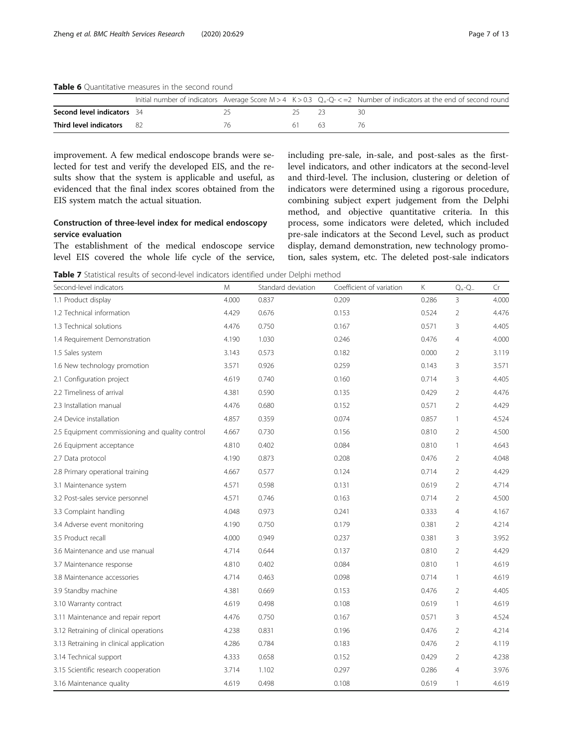<span id="page-6-0"></span>Table 6 Quantitative measures in the second round

|                                   |  |     |    | Initial number of indicators Average Score $M > 4$ K $> 0.3$ Q <sub>+</sub> -Q- $\lt$ =2 Number of indicators at the end of second round |
|-----------------------------------|--|-----|----|------------------------------------------------------------------------------------------------------------------------------------------|
| <b>Second level indicators</b> 34 |  |     |    |                                                                                                                                          |
| <b>Third level indicators</b> 82  |  | h I | 63 |                                                                                                                                          |

improvement. A few medical endoscope brands were selected for test and verify the developed EIS, and the results show that the system is applicable and useful, as evidenced that the final index scores obtained from the EIS system match the actual situation.

## Construction of three-level index for medical endoscopy service evaluation

The establishment of the medical endoscope service level EIS covered the whole life cycle of the service,

including pre-sale, in-sale, and post-sales as the firstlevel indicators, and other indicators at the second-level and third-level. The inclusion, clustering or deletion of indicators were determined using a rigorous procedure, combining subject expert judgement from the Delphi method, and objective quantitative criteria. In this process, some indicators were deleted, which included pre-sale indicators at the Second Level, such as product display, demand demonstration, new technology promotion, sales system, etc. The deleted post-sale indicators

Table 7 Statistical results of second-level indicators identified under Delphi method

| Second-level indicators                         | M     | Standard deviation | Coefficient of variation | Κ     | $Q_+\text{-}Q_-$ | Cr    |
|-------------------------------------------------|-------|--------------------|--------------------------|-------|------------------|-------|
| 1.1 Product display                             | 4.000 | 0.837              | 0.209                    | 0.286 | $\overline{3}$   | 4.000 |
| 1.2 Technical information                       | 4.429 | 0.676              | 0.153                    | 0.524 | $\overline{2}$   | 4.476 |
| 1.3 Technical solutions                         | 4.476 | 0.750              | 0.167                    | 0.571 | 3                | 4.405 |
| 1.4 Requirement Demonstration                   | 4.190 | 1.030              | 0.246                    | 0.476 | 4                | 4.000 |
| 1.5 Sales system                                | 3.143 | 0.573              | 0.182                    | 0.000 | $\overline{2}$   | 3.119 |
| 1.6 New technology promotion                    | 3.571 | 0.926              | 0.259                    | 0.143 | 3                | 3.571 |
| 2.1 Configuration project                       | 4.619 | 0.740              | 0.160                    | 0.714 | 3                | 4.405 |
| 2.2 Timeliness of arrival                       | 4.381 | 0.590              | 0.135                    | 0.429 | $\overline{2}$   | 4.476 |
| 2.3 Installation manual                         | 4.476 | 0.680              | 0.152                    | 0.571 | 2                | 4.429 |
| 2.4 Device installation                         | 4.857 | 0.359              | 0.074                    | 0.857 | $\mathbf{1}$     | 4.524 |
| 2.5 Equipment commissioning and quality control | 4.667 | 0.730              | 0.156                    | 0.810 | 2                | 4.500 |
| 2.6 Equipment acceptance                        | 4.810 | 0.402              | 0.084                    | 0.810 | $\mathbf{1}$     | 4.643 |
| 2.7 Data protocol                               | 4.190 | 0.873              | 0.208                    | 0.476 | $\overline{2}$   | 4.048 |
| 2.8 Primary operational training                | 4.667 | 0.577              | 0.124                    | 0.714 | $\overline{2}$   | 4.429 |
| 3.1 Maintenance system                          | 4.571 | 0.598              | 0.131                    | 0.619 | $\overline{2}$   | 4.714 |
| 3.2 Post-sales service personnel                | 4.571 | 0.746              | 0.163                    | 0.714 | $\overline{2}$   | 4.500 |
| 3.3 Complaint handling                          | 4.048 | 0.973              | 0.241                    | 0.333 | $\overline{4}$   | 4.167 |
| 3.4 Adverse event monitoring                    | 4.190 | 0.750              | 0.179                    | 0.381 | $\overline{2}$   | 4.214 |
| 3.5 Product recall                              | 4.000 | 0.949              | 0.237                    | 0.381 | 3                | 3.952 |
| 3.6 Maintenance and use manual                  | 4.714 | 0.644              | 0.137                    | 0.810 | $\overline{2}$   | 4.429 |
| 3.7 Maintenance response                        | 4.810 | 0.402              | 0.084                    | 0.810 | $\mathbf{1}$     | 4.619 |
| 3.8 Maintenance accessories                     | 4.714 | 0.463              | 0.098                    | 0.714 | $\mathbf{1}$     | 4.619 |
| 3.9 Standby machine                             | 4.381 | 0.669              | 0.153                    | 0.476 | $\overline{2}$   | 4.405 |
| 3.10 Warranty contract                          | 4.619 | 0.498              | 0.108                    | 0.619 | $\mathbf{1}$     | 4.619 |
| 3.11 Maintenance and repair report              | 4.476 | 0.750              | 0.167                    | 0.571 | 3                | 4.524 |
| 3.12 Retraining of clinical operations          | 4.238 | 0.831              | 0.196                    | 0.476 | $\overline{2}$   | 4.214 |
| 3.13 Retraining in clinical application         | 4.286 | 0.784              | 0.183                    | 0.476 | $\overline{2}$   | 4.119 |
| 3.14 Technical support                          | 4.333 | 0.658              | 0.152                    | 0.429 | $\overline{2}$   | 4.238 |
| 3.15 Scientific research cooperation            | 3.714 | 1.102              | 0.297                    | 0.286 | $\overline{4}$   | 3.976 |
| 3.16 Maintenance quality                        | 4.619 | 0.498              | 0.108                    | 0.619 | $\mathbf{1}$     | 4.619 |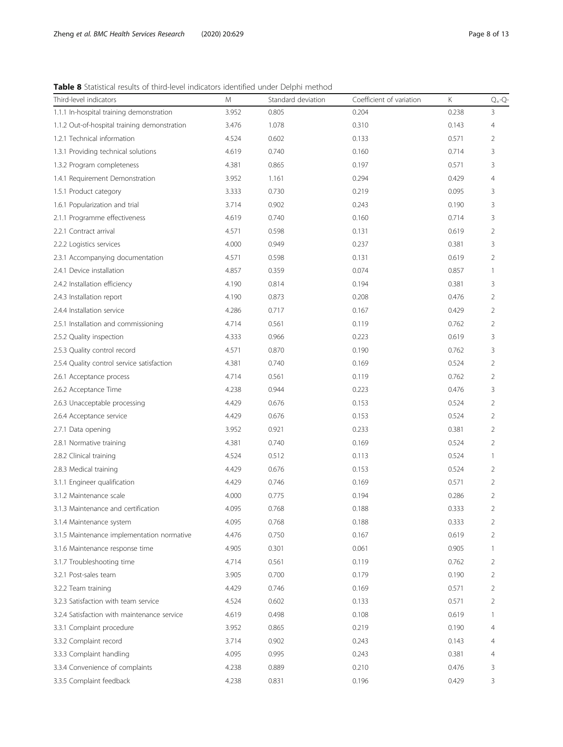<span id="page-7-0"></span>Table 8 Statistical results of third-level indicators identified under Delphi method

| Third-level indicators                       | M     | Standard deviation | Coefficient of variation | Κ     | $Q_+$ - $Q$ - |
|----------------------------------------------|-------|--------------------|--------------------------|-------|---------------|
| 1.1.1 In-hospital training demonstration     | 3.952 | 0.805              | 0.204                    | 0.238 | 3             |
| 1.1.2 Out-of-hospital training demonstration | 3.476 | 1.078              | 0.310                    | 0.143 | 4             |
| 1.2.1 Technical information                  | 4.524 | 0.602              | 0.133                    | 0.571 | 2             |
| 1.3.1 Providing technical solutions          | 4.619 | 0.740              | 0.160                    | 0.714 | 3             |
| 1.3.2 Program completeness                   | 4.381 | 0.865              | 0.197                    | 0.571 | 3             |
| 1.4.1 Requirement Demonstration              | 3.952 | 1.161              | 0.294                    | 0.429 | 4             |
| 1.5.1 Product category                       | 3.333 | 0.730              | 0.219                    | 0.095 | 3             |
| 1.6.1 Popularization and trial               | 3.714 | 0.902              | 0.243                    | 0.190 | 3             |
| 2.1.1 Programme effectiveness                | 4.619 | 0.740              | 0.160                    | 0.714 | 3             |
| 2.2.1 Contract arrival                       | 4.571 | 0.598              | 0.131                    | 0.619 | 2             |
| 2.2.2 Logistics services                     | 4.000 | 0.949              | 0.237                    | 0.381 | 3             |
| 2.3.1 Accompanying documentation             | 4.571 | 0.598              | 0.131                    | 0.619 | 2             |
| 2.4.1 Device installation                    | 4.857 | 0.359              | 0.074                    | 0.857 | $\mathbf{1}$  |
| 2.4.2 Installation efficiency                | 4.190 | 0.814              | 0.194                    | 0.381 | 3             |
| 2.4.3 Installation report                    | 4.190 | 0.873              | 0.208                    | 0.476 | 2             |
| 2.4.4 Installation service                   | 4.286 | 0.717              | 0.167                    | 0.429 | 2             |
| 2.5.1 Installation and commissioning         | 4.714 | 0.561              | 0.119                    | 0.762 | 2             |
| 2.5.2 Quality inspection                     | 4.333 | 0.966              | 0.223                    | 0.619 | 3             |
| 2.5.3 Quality control record                 | 4.571 | 0.870              | 0.190                    | 0.762 | 3             |
| 2.5.4 Quality control service satisfaction   | 4.381 | 0.740              | 0.169                    | 0.524 | 2             |
| 2.6.1 Acceptance process                     | 4.714 | 0.561              | 0.119                    | 0.762 | 2             |
| 2.6.2 Acceptance Time                        | 4.238 | 0.944              | 0.223                    | 0.476 | 3             |
| 2.6.3 Unacceptable processing                | 4.429 | 0.676              | 0.153                    | 0.524 | 2             |
| 2.6.4 Acceptance service                     | 4.429 | 0.676              | 0.153                    | 0.524 | 2             |
| 2.7.1 Data opening                           | 3.952 | 0.921              | 0.233                    | 0.381 | 2             |
| 2.8.1 Normative training                     | 4.381 | 0.740              | 0.169                    | 0.524 | 2             |
| 2.8.2 Clinical training                      | 4.524 | 0.512              | 0.113                    | 0.524 | 1             |
| 2.8.3 Medical training                       | 4.429 | 0.676              | 0.153                    | 0.524 | 2             |
| 3.1.1 Engineer qualification                 | 4.429 | 0.746              | 0.169                    | 0.571 | 2             |
| 3.1.2 Maintenance scale                      | 4.000 | 0.775              | 0.194                    | 0.286 | 2             |
| 3.1.3 Maintenance and certification          | 4.095 | 0.768              | 0.188                    | 0.333 | 2             |
| 3.1.4 Maintenance system                     | 4.095 | 0.768              | 0.188                    | 0.333 | 2             |
| 3.1.5 Maintenance implementation normative   | 4.476 | 0.750              | 0.167                    | 0.619 | 2             |
| 3.1.6 Maintenance response time              | 4.905 | 0.301              | 0.061                    | 0.905 | 1             |
| 3.1.7 Troubleshooting time                   | 4.714 | 0.561              | 0.119                    | 0.762 | 2             |
| 3.2.1 Post-sales team                        | 3.905 | 0.700              | 0.179                    | 0.190 | 2             |
| 3.2.2 Team training                          | 4.429 | 0.746              | 0.169                    | 0.571 | 2             |
| 3.2.3 Satisfaction with team service         | 4.524 | 0.602              | 0.133                    | 0.571 | 2             |
| 3.2.4 Satisfaction with maintenance service  | 4.619 | 0.498              | 0.108                    | 0.619 | 1             |
| 3.3.1 Complaint procedure                    | 3.952 | 0.865              | 0.219                    | 0.190 | 4             |
| 3.3.2 Complaint record                       | 3.714 | 0.902              | 0.243                    | 0.143 | 4             |
| 3.3.3 Complaint handling                     | 4.095 | 0.995              | 0.243                    | 0.381 | 4             |
| 3.3.4 Convenience of complaints              | 4.238 | 0.889              | 0.210                    | 0.476 | 3             |
| 3.3.5 Complaint feedback                     | 4.238 | 0.831              | 0.196                    | 0.429 | 3             |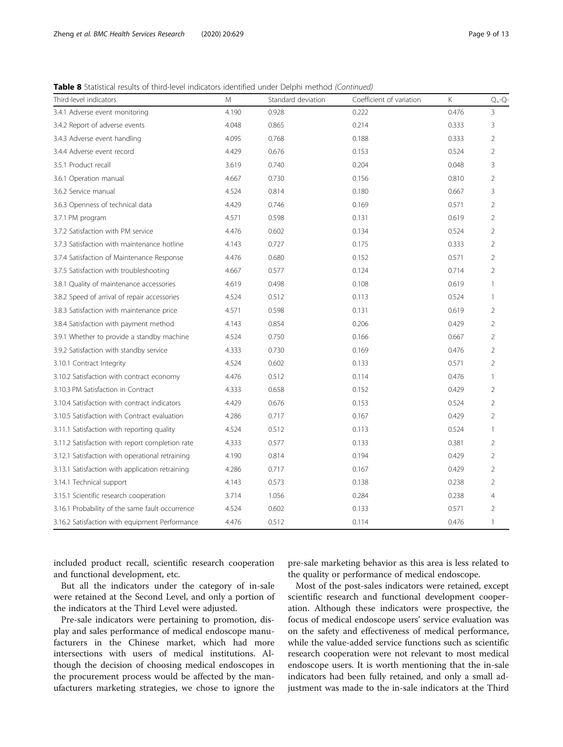Table 8 Statistical results of third-level indicators identified under Delphi method (Continued)

| Third-level indicators                          | M     | Standard deviation | Coefficient of variation | K.    | $Q_+$ -Q-      |
|-------------------------------------------------|-------|--------------------|--------------------------|-------|----------------|
| 3.4.1 Adverse event monitoring                  | 4.190 | 0.928              | 0.222                    | 0.476 | 3              |
| 3.4.2 Report of adverse events                  | 4.048 | 0.865              | 0.214                    | 0.333 | 3              |
| 3.4.3 Adverse event handling                    | 4.095 | 0.768              | 0.188                    | 0.333 | 2              |
| 3.4.4 Adverse event record                      | 4.429 | 0.676              | 0.153                    | 0.524 | 2              |
| 3.5.1 Product recall                            | 3.619 | 0.740              | 0.204                    | 0.048 | 3              |
| 3.6.1 Operation manual                          | 4.667 | 0.730              | 0.156                    | 0.810 | 2              |
| 3.6.2 Service manual                            | 4.524 | 0.814              | 0.180                    | 0.667 | 3              |
| 3.6.3 Openness of technical data                | 4.429 | 0.746              | 0.169                    | 0.571 | 2              |
| 3.7.1 PM program                                | 4.571 | 0.598              | 0.131                    | 0.619 | 2              |
| 3.7.2 Satisfaction with PM service              | 4.476 | 0.602              | 0.134                    | 0.524 | 2              |
| 3.7.3 Satisfaction with maintenance hotline     | 4.143 | 0.727              | 0.175                    | 0.333 | 2              |
| 3.7.4 Satisfaction of Maintenance Response      | 4.476 | 0.680              | 0.152                    | 0.571 | 2              |
| 3.7.5 Satisfaction with troubleshooting         | 4.667 | 0.577              | 0.124                    | 0.714 | $\overline{2}$ |
| 3.8.1 Quality of maintenance accessories        | 4.619 | 0.498              | 0.108                    | 0.619 | 1              |
| 3.8.2 Speed of arrival of repair accessories    | 4.524 | 0.512              | 0.113                    | 0.524 | 1              |
| 3.8.3 Satisfaction with maintenance price       | 4.571 | 0.598              | 0.131                    | 0.619 | 2              |
| 3.8.4 Satisfaction with payment method          | 4.143 | 0.854              | 0.206                    | 0.429 | 2              |
| 3.9.1 Whether to provide a standby machine      | 4.524 | 0.750              | 0.166                    | 0.667 | 2              |
| 3.9.2 Satisfaction with standby service         | 4.333 | 0.730              | 0.169                    | 0.476 | $\overline{2}$ |
| 3.10.1 Contract Integrity                       | 4.524 | 0.602              | 0.133                    | 0.571 | 2              |
| 3.10.2 Satisfaction with contract economy       | 4.476 | 0.512              | 0.114                    | 0.476 | $\mathbf{1}$   |
| 3.10.3 PM Satisfaction in Contract              | 4.333 | 0.658              | 0.152                    | 0.429 | 2              |
| 3.10.4 Satisfaction with contract indicators    | 4.429 | 0.676              | 0.153                    | 0.524 | $\overline{2}$ |
| 3.10.5 Satisfaction with Contract evaluation    | 4.286 | 0.717              | 0.167                    | 0.429 | 2              |
| 3.11.1 Satisfaction with reporting quality      | 4.524 | 0.512              | 0.113                    | 0.524 | $\mathbf{1}$   |
| 3.11.2 Satisfaction with report completion rate | 4.333 | 0.577              | 0.133                    | 0.381 | 2              |
| 3.12.1 Satisfaction with operational retraining | 4.190 | 0.814              | 0.194                    | 0.429 | 2              |
| 3.13.1 Satisfaction with application retraining | 4.286 | 0.717              | 0.167                    | 0.429 | 2              |
| 3.14.1 Technical support                        | 4.143 | 0.573              | 0.138                    | 0.238 | 2              |
| 3.15.1 Scientific research cooperation          | 3.714 | 1.056              | 0.284                    | 0.238 | 4              |
| 3.16.1 Probability of the same fault occurrence | 4.524 | 0.602              | 0.133                    | 0.571 | 2              |
| 3.16.2 Satisfaction with equipment Performance  | 4.476 | 0.512              | 0.114                    | 0.476 | 1              |

included product recall, scientific research cooperation and functional development, etc.

But all the indicators under the category of in-sale were retained at the Second Level, and only a portion of the indicators at the Third Level were adjusted.

Pre-sale indicators were pertaining to promotion, display and sales performance of medical endoscope manufacturers in the Chinese market, which had more intersections with users of medical institutions. Although the decision of choosing medical endoscopes in the procurement process would be affected by the manufacturers marketing strategies, we chose to ignore the

pre-sale marketing behavior as this area is less related to the quality or performance of medical endoscope.

Most of the post-sales indicators were retained, except scientific research and functional development cooperation. Although these indicators were prospective, the focus of medical endoscope users' service evaluation was on the safety and effectiveness of medical performance, while the value-added service functions such as scientific research cooperation were not relevant to most medical endoscope users. It is worth mentioning that the in-sale indicators had been fully retained, and only a small adjustment was made to the in-sale indicators at the Third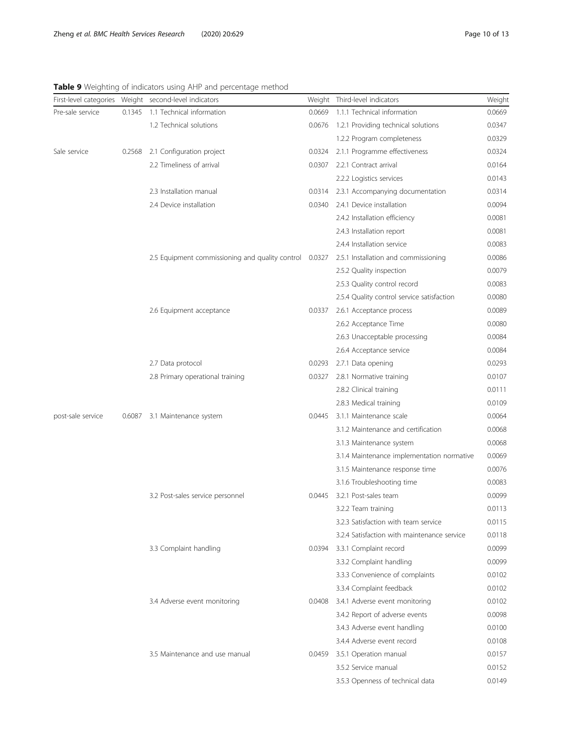|                   |        | First-level categories Weight second-level indicators |        | Weight Third-level indicators               | Weight |
|-------------------|--------|-------------------------------------------------------|--------|---------------------------------------------|--------|
| Pre-sale service  | 0.1345 | 1.1 Technical information                             | 0.0669 | 1.1.1 Technical information                 | 0.0669 |
|                   |        | 1.2 Technical solutions                               | 0.0676 | 1.2.1 Providing technical solutions         | 0.0347 |
|                   |        |                                                       |        | 1.2.2 Program completeness                  | 0.0329 |
| Sale service      | 0.2568 | 2.1 Configuration project                             | 0.0324 | 2.1.1 Programme effectiveness               | 0.0324 |
|                   |        | 2.2 Timeliness of arrival                             | 0.0307 | 2.2.1 Contract arrival                      | 0.0164 |
|                   |        |                                                       |        | 2.2.2 Logistics services                    | 0.0143 |
|                   |        | 2.3 Installation manual                               | 0.0314 | 2.3.1 Accompanying documentation            | 0.0314 |
|                   |        | 2.4 Device installation                               | 0.0340 | 2.4.1 Device installation                   | 0.0094 |
|                   |        |                                                       |        | 2.4.2 Installation efficiency               | 0.0081 |
|                   |        |                                                       |        | 2.4.3 Installation report                   | 0.0081 |
|                   |        |                                                       |        | 2.4.4 Installation service                  | 0.0083 |
|                   |        | 2.5 Equipment commissioning and quality control       | 0.0327 | 2.5.1 Installation and commissioning        | 0.0086 |
|                   |        |                                                       |        | 2.5.2 Quality inspection                    | 0.0079 |
|                   |        |                                                       |        | 2.5.3 Quality control record                | 0.0083 |
|                   |        |                                                       |        | 2.5.4 Quality control service satisfaction  | 0.0080 |
|                   |        | 2.6 Equipment acceptance                              | 0.0337 | 2.6.1 Acceptance process                    | 0.0089 |
|                   |        |                                                       |        | 2.6.2 Acceptance Time                       | 0.0080 |
|                   |        |                                                       |        | 2.6.3 Unacceptable processing               | 0.0084 |
|                   |        |                                                       |        | 2.6.4 Acceptance service                    | 0.0084 |
|                   |        | 2.7 Data protocol                                     | 0.0293 | 2.7.1 Data opening                          | 0.0293 |
|                   |        | 2.8 Primary operational training                      | 0.0327 | 2.8.1 Normative training                    | 0.0107 |
|                   |        |                                                       |        | 2.8.2 Clinical training                     | 0.0111 |
|                   |        |                                                       |        | 2.8.3 Medical training                      | 0.0109 |
| post-sale service | 0.6087 | 3.1 Maintenance system                                | 0.0445 | 3.1.1 Maintenance scale                     | 0.0064 |
|                   |        |                                                       |        | 3.1.2 Maintenance and certification         | 0.0068 |
|                   |        |                                                       |        | 3.1.3 Maintenance system                    | 0.0068 |
|                   |        |                                                       |        | 3.1.4 Maintenance implementation normative  | 0.0069 |
|                   |        |                                                       |        | 3.1.5 Maintenance response time             | 0.0076 |
|                   |        |                                                       |        | 3.1.6 Troubleshooting time                  | 0.0083 |
|                   |        | 3.2 Post-sales service personnel                      | 0.0445 | 3.2.1 Post-sales team                       | 0.0099 |
|                   |        |                                                       |        | 3.2.2 Team training                         | 0.0113 |
|                   |        |                                                       |        | 3.2.3 Satisfaction with team service        | 0.0115 |
|                   |        |                                                       |        | 3.2.4 Satisfaction with maintenance service | 0.0118 |
|                   |        | 3.3 Complaint handling                                |        | 0.0394 3.3.1 Complaint record               | 0.0099 |
|                   |        |                                                       |        | 3.3.2 Complaint handling                    | 0.0099 |
|                   |        |                                                       |        | 3.3.3 Convenience of complaints             | 0.0102 |
|                   |        |                                                       |        | 3.3.4 Complaint feedback                    | 0.0102 |
|                   |        | 3.4 Adverse event monitoring                          | 0.0408 | 3.4.1 Adverse event monitoring              | 0.0102 |
|                   |        |                                                       |        | 3.4.2 Report of adverse events              | 0.0098 |
|                   |        |                                                       |        | 3.4.3 Adverse event handling                | 0.0100 |
|                   |        |                                                       |        | 3.4.4 Adverse event record                  | 0.0108 |
|                   |        | 3.5 Maintenance and use manual                        |        | 0.0459 3.5.1 Operation manual               | 0.0157 |
|                   |        |                                                       |        | 3.5.2 Service manual                        | 0.0152 |
|                   |        |                                                       |        | 3.5.3 Openness of technical data            | 0.0149 |

<span id="page-9-0"></span>Table 9 Weighting of indicators using AHP and percentage method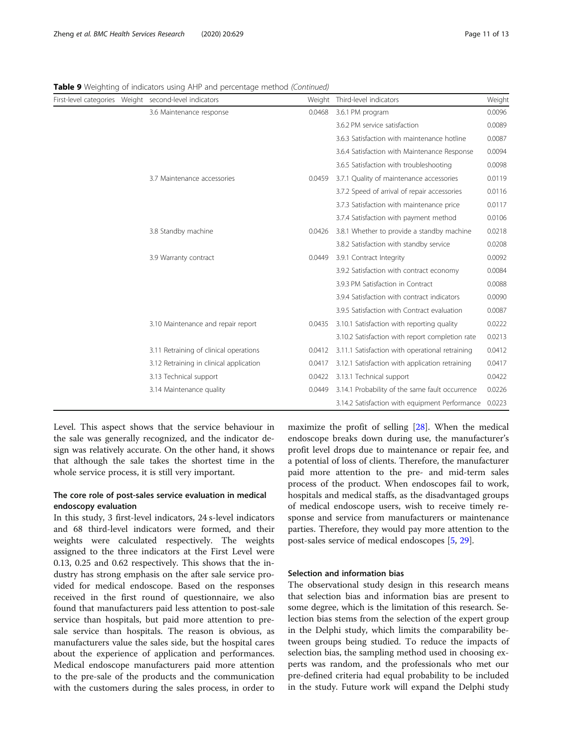|  | First-level categories Weight second-level indicators | Weight | Third-level indicators                                | Weight |
|--|-------------------------------------------------------|--------|-------------------------------------------------------|--------|
|  | 3.6 Maintenance response                              | 0.0468 | 3.6.1 PM program                                      | 0.0096 |
|  |                                                       |        | 3.6.2 PM service satisfaction                         | 0.0089 |
|  |                                                       |        | 3.6.3 Satisfaction with maintenance hotline           | 0.0087 |
|  |                                                       |        | 3.6.4 Satisfaction with Maintenance Response          | 0.0094 |
|  |                                                       |        | 3.6.5 Satisfaction with troubleshooting               | 0.0098 |
|  | 3.7 Maintenance accessories                           | 0.0459 | 3.7.1 Quality of maintenance accessories              | 0.0119 |
|  |                                                       |        | 3.7.2 Speed of arrival of repair accessories          | 0.0116 |
|  |                                                       |        | 3.7.3 Satisfaction with maintenance price             | 0.0117 |
|  |                                                       |        | 3.7.4 Satisfaction with payment method                | 0.0106 |
|  | 3.8 Standby machine                                   | 0.0426 | 3.8.1 Whether to provide a standby machine            | 0.0218 |
|  |                                                       |        | 3.8.2 Satisfaction with standby service               | 0.0208 |
|  | 3.9 Warranty contract                                 | 0.0449 | 3.9.1 Contract Integrity                              | 0.0092 |
|  |                                                       |        | 3.9.2 Satisfaction with contract economy              | 0.0084 |
|  |                                                       |        | 3.9.3 PM Satisfaction in Contract                     | 0.0088 |
|  |                                                       |        | 3.9.4 Satisfaction with contract indicators           | 0.0090 |
|  |                                                       |        | 3.9.5 Satisfaction with Contract evaluation           | 0.0087 |
|  | 3.10 Maintenance and repair report                    | 0.0435 | 3.10.1 Satisfaction with reporting quality            | 0.0222 |
|  |                                                       |        | 3.10.2 Satisfaction with report completion rate       | 0.0213 |
|  | 3.11 Retraining of clinical operations                | 0.0412 | 3.11.1 Satisfaction with operational retraining       | 0.0412 |
|  | 3.12 Retraining in clinical application               | 0.0417 | 3.12.1 Satisfaction with application retraining       | 0.0417 |
|  | 3.13 Technical support                                | 0.0422 | 3.13.1 Technical support                              | 0.0422 |
|  | 3.14 Maintenance quality                              | 0.0449 | 3.14.1 Probability of the same fault occurrence       | 0.0226 |
|  |                                                       |        | 3.14.2 Satisfaction with equipment Performance 0.0223 |        |

Table 9 Weighting of indicators using AHP and percentage method (Continued)

Level. This aspect shows that the service behaviour in the sale was generally recognized, and the indicator design was relatively accurate. On the other hand, it shows that although the sale takes the shortest time in the whole service process, it is still very important.

## The core role of post-sales service evaluation in medical endoscopy evaluation

In this study, 3 first-level indicators, 24 s-level indicators and 68 third-level indicators were formed, and their weights were calculated respectively. The weights assigned to the three indicators at the First Level were 0.13, 0.25 and 0.62 respectively. This shows that the industry has strong emphasis on the after sale service provided for medical endoscope. Based on the responses received in the first round of questionnaire, we also found that manufacturers paid less attention to post-sale service than hospitals, but paid more attention to presale service than hospitals. The reason is obvious, as manufacturers value the sales side, but the hospital cares about the experience of application and performances. Medical endoscope manufacturers paid more attention to the pre-sale of the products and the communication with the customers during the sales process, in order to

maximize the profit of selling [[28\]](#page-12-0). When the medical endoscope breaks down during use, the manufacturer's profit level drops due to maintenance or repair fee, and a potential of loss of clients. Therefore, the manufacturer paid more attention to the pre- and mid-term sales process of the product. When endoscopes fail to work, hospitals and medical staffs, as the disadvantaged groups of medical endoscope users, wish to receive timely response and service from manufacturers or maintenance parties. Therefore, they would pay more attention to the post-sales service of medical endoscopes [[5](#page-12-0), [29](#page-12-0)].

## Selection and information bias

The observational study design in this research means that selection bias and information bias are present to some degree, which is the limitation of this research. Selection bias stems from the selection of the expert group in the Delphi study, which limits the comparability between groups being studied. To reduce the impacts of selection bias, the sampling method used in choosing experts was random, and the professionals who met our pre-defined criteria had equal probability to be included in the study. Future work will expand the Delphi study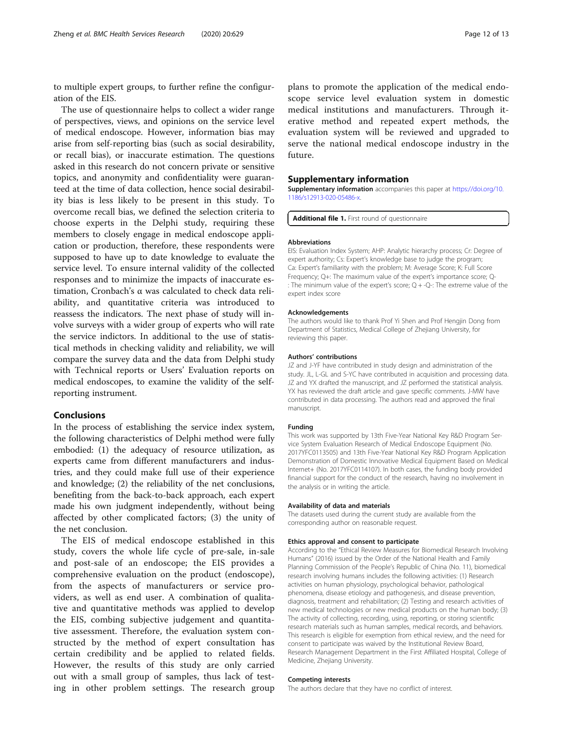<span id="page-11-0"></span>to multiple expert groups, to further refine the configuration of the EIS.

The use of questionnaire helps to collect a wider range of perspectives, views, and opinions on the service level of medical endoscope. However, information bias may arise from self-reporting bias (such as social desirability, or recall bias), or inaccurate estimation. The questions asked in this research do not concern private or sensitive topics, and anonymity and confidentiality were guaranteed at the time of data collection, hence social desirability bias is less likely to be present in this study. To overcome recall bias, we defined the selection criteria to choose experts in the Delphi study, requiring these members to closely engage in medical endoscope application or production, therefore, these respondents were supposed to have up to date knowledge to evaluate the service level. To ensure internal validity of the collected responses and to minimize the impacts of inaccurate estimation, Cronbach's α was calculated to check data reliability, and quantitative criteria was introduced to reassess the indicators. The next phase of study will involve surveys with a wider group of experts who will rate the service indictors. In additional to the use of statistical methods in checking validity and reliability, we will compare the survey data and the data from Delphi study with Technical reports or Users' Evaluation reports on medical endoscopes, to examine the validity of the selfreporting instrument.

## Conclusions

In the process of establishing the service index system, the following characteristics of Delphi method were fully embodied: (1) the adequacy of resource utilization, as experts came from different manufacturers and industries, and they could make full use of their experience and knowledge; (2) the reliability of the net conclusions, benefiting from the back-to-back approach, each expert made his own judgment independently, without being affected by other complicated factors; (3) the unity of the net conclusion.

The EIS of medical endoscope established in this study, covers the whole life cycle of pre-sale, in-sale and post-sale of an endoscope; the EIS provides a comprehensive evaluation on the product (endoscope), from the aspects of manufacturers or service providers, as well as end user. A combination of qualitative and quantitative methods was applied to develop the EIS, combing subjective judgement and quantitative assessment. Therefore, the evaluation system constructed by the method of expert consultation has certain credibility and be applied to related fields. However, the results of this study are only carried out with a small group of samples, thus lack of testing in other problem settings. The research group

plans to promote the application of the medical endoscope service level evaluation system in domestic medical institutions and manufacturers. Through iterative method and repeated expert methods, the evaluation system will be reviewed and upgraded to serve the national medical endoscope industry in the future.

## Supplementary information

Supplementary information accompanies this paper at [https://doi.org/10.](https://doi.org/10.1186/s12913-020-05486-x) [1186/s12913-020-05486-x.](https://doi.org/10.1186/s12913-020-05486-x)

Additional file 1. First round of questionnaire

#### Abbreviations

EIS: Evaluation Index System; AHP: Analytic hierarchy process; Cr: Degree of expert authority; Cs: Expert's knowledge base to judge the program; Ca: Expert's familiarity with the problem; M: Average Score; K: Full Score Frequency; Q+: The maximum value of the expert's importance score; Q- : The minimum value of the expert's score; Q + -Q-: The extreme value of the expert index score

#### Acknowledgements

The authors would like to thank Prof Yi Shen and Prof Hengjin Dong from Department of Statistics, Medical College of Zhejiang University, for reviewing this paper.

#### Authors' contributions

JZ and J-YF have contributed in study design and administration of the study. JL, L-GL and S-YC have contributed in acquisition and processing data. JZ and YX drafted the manuscript, and JZ performed the statistical analysis. YX has reviewed the draft article and gave specific comments. J-MW have contributed in data processing. The authors read and approved the final manuscript.

#### Funding

This work was supported by 13th Five-Year National Key R&D Program Service System Evaluation Research of Medical Endoscope Equipment (No. 2017YFC0113505) and 13th Five-Year National Key R&D Program Application Demonstration of Domestic Innovative Medical Equipment Based on Medical Internet+ (No. 2017YFC0114107). In both cases, the funding body provided financial support for the conduct of the research, having no involvement in the analysis or in writing the article.

#### Availability of data and materials

The datasets used during the current study are available from the corresponding author on reasonable request.

#### Ethics approval and consent to participate

According to the "Ethical Review Measures for Biomedical Research Involving Humans" (2016) issued by the Order of the National Health and Family Planning Commission of the People's Republic of China (No. 11), biomedical research involving humans includes the following activities: (1) Research activities on human physiology, psychological behavior, pathological phenomena, disease etiology and pathogenesis, and disease prevention, diagnosis, treatment and rehabilitation; (2) Testing and research activities of new medical technologies or new medical products on the human body; (3) The activity of collecting, recording, using, reporting, or storing scientific research materials such as human samples, medical records, and behaviors. This research is eligible for exemption from ethical review, and the need for consent to participate was waived by the Institutional Review Board, Research Management Department in the First Affiliated Hospital, College of Medicine, Zhejiang University.

#### Competing interests

The authors declare that they have no conflict of interest.